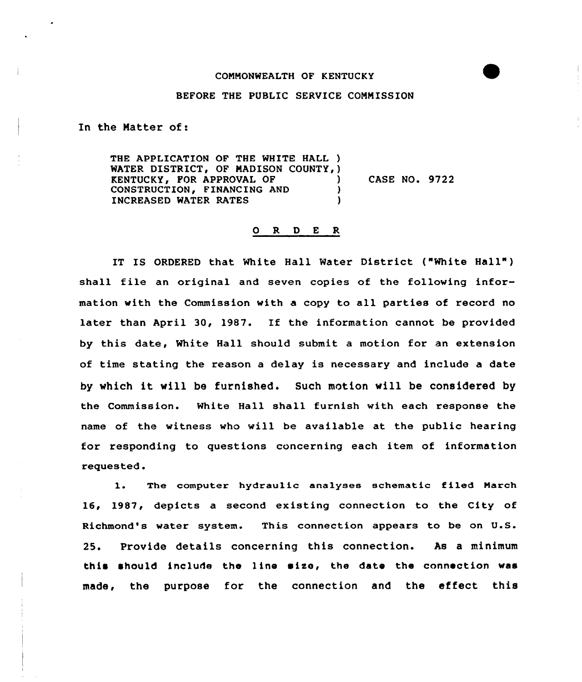## BEFORE THE PUBLIC SERVICE COMMISSION

In the Matter of:

THE APPLICATION OF THE WHITE HALL ) WATER DISTRICT, OF MADISON COUNTY, ) **KENTUCKY, FOR APPROVAL OF (2)**<br>CONSTRUCTION, FINANCING AND (2) CASE NO. 9722 CONSTRUCTION, FINANCING AND INCREASED WATER RATES ١

## O R D E R

IT IS ORDERED that White Hall Water District ("White Hall" ) shall file an original and seven copies of the following information with the Commission with a copy to all parties of record no later than April 30, 1987. If the information cannot be provided by this date, White Hall should submit a motion for an extension of time stating the reason a delay is necessary and include a date by which it will be furnished. Such motion will be considered by the Commission. White Hall shall furnish with each response the name of the witness who will be available at the public hearing for responding to questions concerning each item of information requested.

l. The computer hydraulic analyses schematic filed March 16, 1987, depicts a second existing connection to the City of Richmond's water system. This connection appears to be on U.S. 25. Provide details concerning this connection. As a minimum this should include the line size, the date the connection was made, the purpose for the connection and the effect this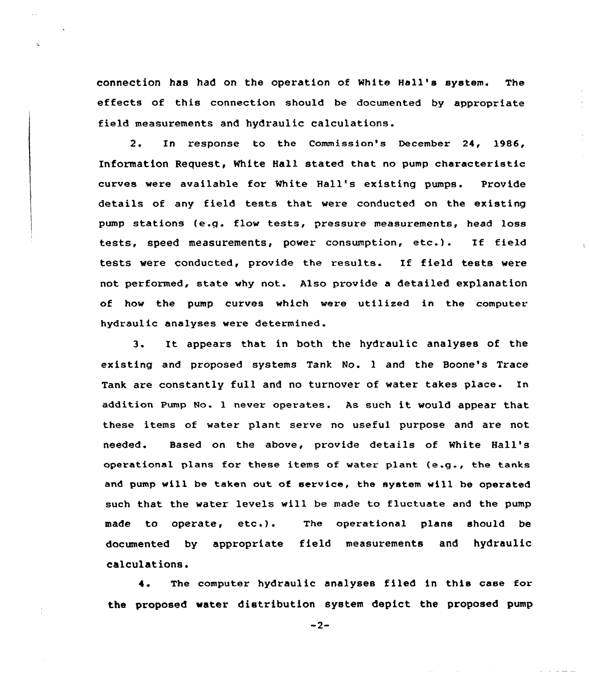connection has had on the operation of white Hall's system. The effects of this connection should be documented by appropriate field measurements and hydraulic calculations.

2. In response to the Commission's December 24, 1986, Information Request, White Hall stated that no pump characteristic curves were available for White Hall's existing pumps. Provide details of any field tests that were conducted on the existing pump stations (e.g. flow tests, pressure measurements, head loss tests, speed measurements, power consumption, etc.). If field tests were conducted, provide the results. If field tests were not performed, state why not. Also provide a detailed explanation of how the pump curves which were utilized in the computer hydraulic analyses were determined.

3. It appears that in both the hydraulic analyses of the existing and proposed systems Tank No. <sup>1</sup> and the Boone's Trace Tank are constantly full and no turnover of water takes place. In addition Pump No. <sup>1</sup> never operates. As such it would appear that these items of water plant serve no useful purpose and are not needed. Based on the above, provide details of %hite Hall' operational plans for these items of vater plant (e.g., the tanks and pump will be taken out, of service, the system will be operated such that the water levels will be made to fluctuate and the pump made to operate, etc.). ). The operational plans should be documented by appropriate field measurements and hydraulic calculations.

<sup>4</sup> The computer hydraulic analyses filed in this case for the proposed water distribution system depict the proposed pump

 $-2-$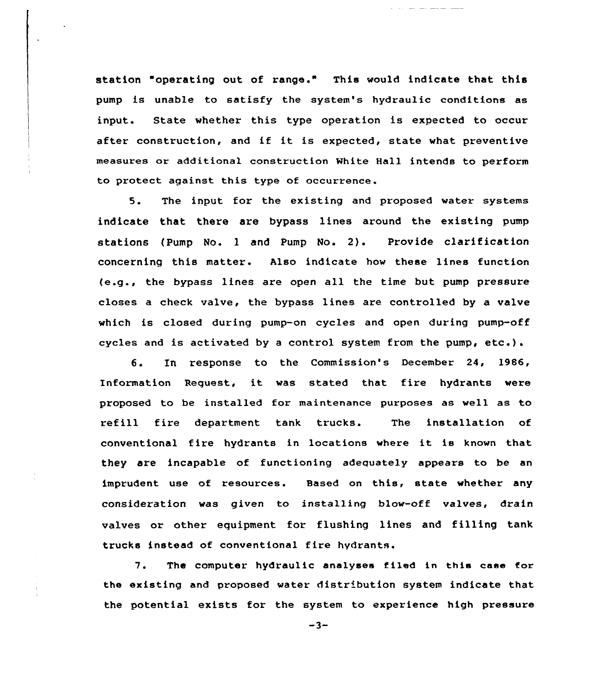station "operating out of range." This would indicate that this pump is unable to satisfy the system's hydraulic conditions as input. State whether this type operation is expected to occur after construction, and if it is expected, state what preventive measures or additional construction White Hall intends to perform to protect against this type of occurrence.

and the company of the company of the company of the company of the company of the company of the company of the company of the company of the company of the company of the company of the company of the company of the comp

5. The input for the existing and proposed water systems indicate that there are bypass lines around the existing pump stations (Pump No. <sup>1</sup> and Pump No. 2). Provide clarification concerning this matter. Also indicate how these lines function (e.g., the bypass lines are open all the time but pump pressure closes a check valve, the bypass lines are controlled by a valve which is closed during pump-on cycles and open during pump-off cycles and is activated by <sup>a</sup> control system from the pump, etc.).

6. In response to the Commission's December 24, 1986, Information Request, it was stated that fire hydrants were proposed to be installed for maintenance purposes as well as to refill fire department tank trucks. The installation of conventional fire hydrants in locations where it is known that they are incapable of functioning adequately appears to be an imprudent use of resources. Based on this, state whether any consideration was given to installing blow-off valves, drain valves or other equipment for flushing lines and filling tank trucks instead of conventional fire hydrants.

7. The computer hydraulic analyses filed in this case for the existing and proposed water distribution system indicate that the potential exists for the system to experience high pressure

 $-3-$